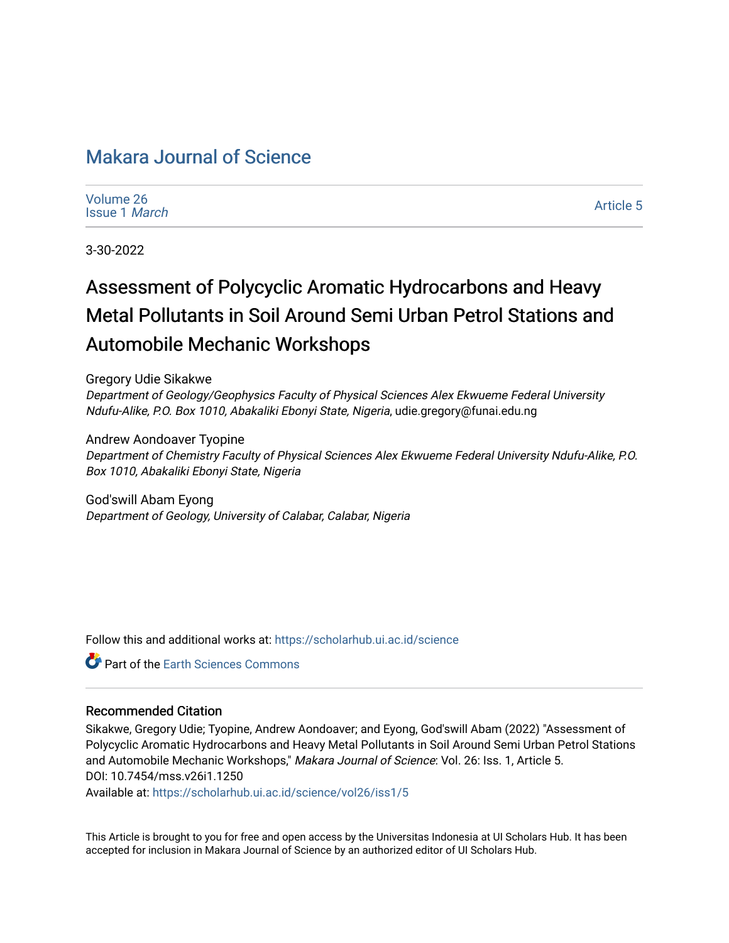# [Makara Journal of Science](https://scholarhub.ui.ac.id/science)

| Volume 26 |                      |
|-----------|----------------------|
|           | Issue 1 <i>March</i> |

[Article 5](https://scholarhub.ui.ac.id/science/vol26/iss1/5) 

3-30-2022

# Assessment of Polycyclic Aromatic Hydrocarbons and Heavy Metal Pollutants in Soil Around Semi Urban Petrol Stations and Automobile Mechanic Workshops

Gregory Udie Sikakwe Department of Geology/Geophysics Faculty of Physical Sciences Alex Ekwueme Federal University Ndufu-Alike, P.O. Box 1010, Abakaliki Ebonyi State, Nigeria, udie.gregory@funai.edu.ng

Andrew Aondoaver Tyopine Department of Chemistry Faculty of Physical Sciences Alex Ekwueme Federal University Ndufu-Alike, P.O. Box 1010, Abakaliki Ebonyi State, Nigeria

God'swill Abam Eyong Department of Geology, University of Calabar, Calabar, Nigeria

Follow this and additional works at: [https://scholarhub.ui.ac.id/science](https://scholarhub.ui.ac.id/science?utm_source=scholarhub.ui.ac.id%2Fscience%2Fvol26%2Fiss1%2F5&utm_medium=PDF&utm_campaign=PDFCoverPages) 

**C** Part of the Earth Sciences Commons

#### Recommended Citation

Sikakwe, Gregory Udie; Tyopine, Andrew Aondoaver; and Eyong, God'swill Abam (2022) "Assessment of Polycyclic Aromatic Hydrocarbons and Heavy Metal Pollutants in Soil Around Semi Urban Petrol Stations and Automobile Mechanic Workshops," Makara Journal of Science: Vol. 26: Iss. 1, Article 5. DOI: 10.7454/mss.v26i1.1250

Available at: [https://scholarhub.ui.ac.id/science/vol26/iss1/5](https://scholarhub.ui.ac.id/science/vol26/iss1/5?utm_source=scholarhub.ui.ac.id%2Fscience%2Fvol26%2Fiss1%2F5&utm_medium=PDF&utm_campaign=PDFCoverPages)

This Article is brought to you for free and open access by the Universitas Indonesia at UI Scholars Hub. It has been accepted for inclusion in Makara Journal of Science by an authorized editor of UI Scholars Hub.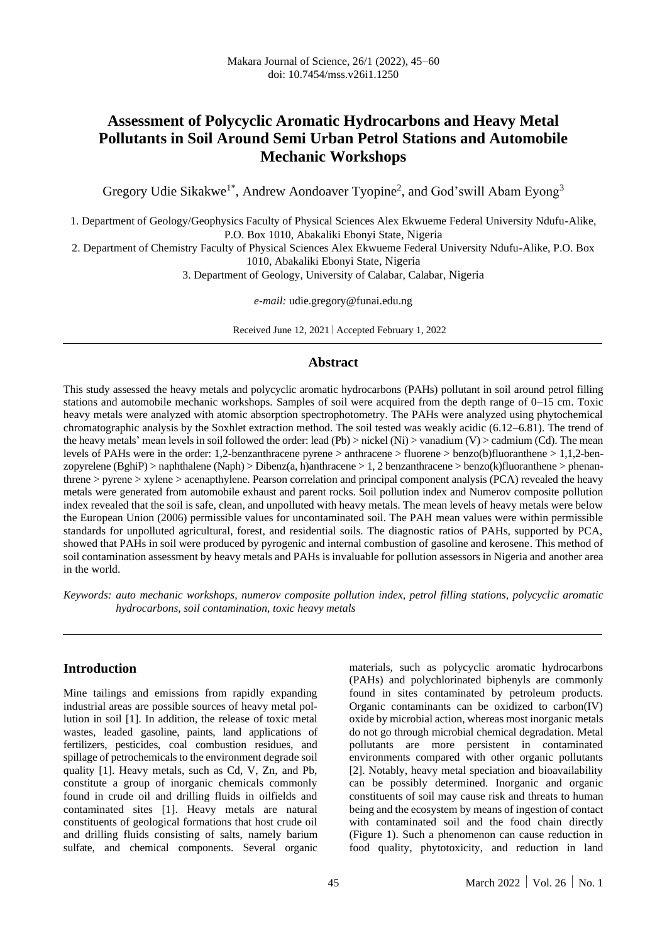# **Assessment of Polycyclic Aromatic Hydrocarbons and Heavy Metal Pollutants in Soil Around Semi Urban Petrol Stations and Automobile Mechanic Workshops**

Gregory Udie Sikakwe<sup>1\*</sup>, Andrew Aondoaver Tyopine<sup>2</sup>, and God'swill Abam Eyong<sup>3</sup>

1. Department of Geology/Geophysics Faculty of Physical Sciences Alex Ekwueme Federal University Ndufu-Alike, P.O. Box 1010, Abakaliki Ebonyi State, Nigeria

2. Department of Chemistry Faculty of Physical Sciences Alex Ekwueme Federal University Ndufu-Alike, P.O. Box 1010, Abakaliki Ebonyi State, Nigeria

3. Department of Geology, University of Calabar, Calabar, Nigeria

*e-mail:* [udie.gregory@funai.edu.ng](mailto:udie.gregory@funai.edu.ng)

Received June 12, 2021 | Accepted February 1, 2022

#### **Abstract**

This study assessed the heavy metals and polycyclic aromatic hydrocarbons (PAHs) pollutant in soil around petrol filling stations and automobile mechanic workshops. Samples of soil were acquired from the depth range of 0–15 cm. Toxic heavy metals were analyzed with atomic absorption spectrophotometry. The PAHs were analyzed using phytochemical chromatographic analysis by the Soxhlet extraction method. The soil tested was weakly acidic (6.12–6.81). The trend of the heavy metals' mean levels in soil followed the order: lead (Pb) > nickel (Ni) > vanadium (V) > cadmium (Cd). The mean levels of PAHs were in the order: 1,2-benzanthracene pyrene > anthracene > fluorene > benzo(b)fluoranthene > 1,1,2-benzopyrelene (BghiP) > naphthalene (Naph) > Dibenz(a, h)anthracene > 1, 2 benzanthracene > benzo(k)fluoranthene > phenanthrene > pyrene > xylene > acenapthylene. Pearson correlation and principal component analysis (PCA) revealed the heavy metals were generated from automobile exhaust and parent rocks. Soil pollution index and Numerov composite pollution index revealed that the soil is safe, clean, and unpolluted with heavy metals. The mean levels of heavy metals were below the European Union (2006) permissible values for uncontaminated soil. The PAH mean values were within permissible standards for unpolluted agricultural, forest, and residential soils. The diagnostic ratios of PAHs, supported by PCA, showed that PAHs in soil were produced by pyrogenic and internal combustion of gasoline and kerosene. This method of soil contamination assessment by heavy metals and PAHs is invaluable for pollution assessors in Nigeria and another area in the world.

*Keywords: auto mechanic workshops, numerov composite pollution index, petrol filling stations, polycyclic aromatic hydrocarbons, soil contamination, toxic heavy metals* 

#### **Introduction**

Mine tailings and emissions from rapidly expanding industrial areas are possible sources of heavy metal pollution in soil [1]. In addition, the release of toxic metal wastes, leaded gasoline, paints, land applications of fertilizers, pesticides, coal combustion residues, and spillage of petrochemicals to the environment degrade soil quality [1]. Heavy metals, such as Cd, V, Zn, and Pb, constitute a group of inorganic chemicals commonly found in crude oil and drilling fluids in oilfields and contaminated sites [1]. Heavy metals are natural constituents of geological formations that host crude oil and drilling fluids consisting of salts, namely barium sulfate, and chemical components. Several organic materials, such as polycyclic aromatic hydrocarbons (PAHs) and polychlorinated biphenyls are commonly found in sites contaminated by petroleum products. Organic contaminants can be oxidized to carbon(IV) oxide by microbial action, whereas most inorganic metals do not go through microbial chemical degradation. Metal pollutants are more persistent in contaminated environments compared with other organic pollutants [2]. Notably, heavy metal speciation and bioavailability can be possibly determined. Inorganic and organic constituents of soil may cause risk and threats to human being and the ecosystem by means of ingestion of contact with contaminated soil and the food chain directly (Figure 1). Such a phenomenon can cause reduction in food quality, phytotoxicity, and reduction in land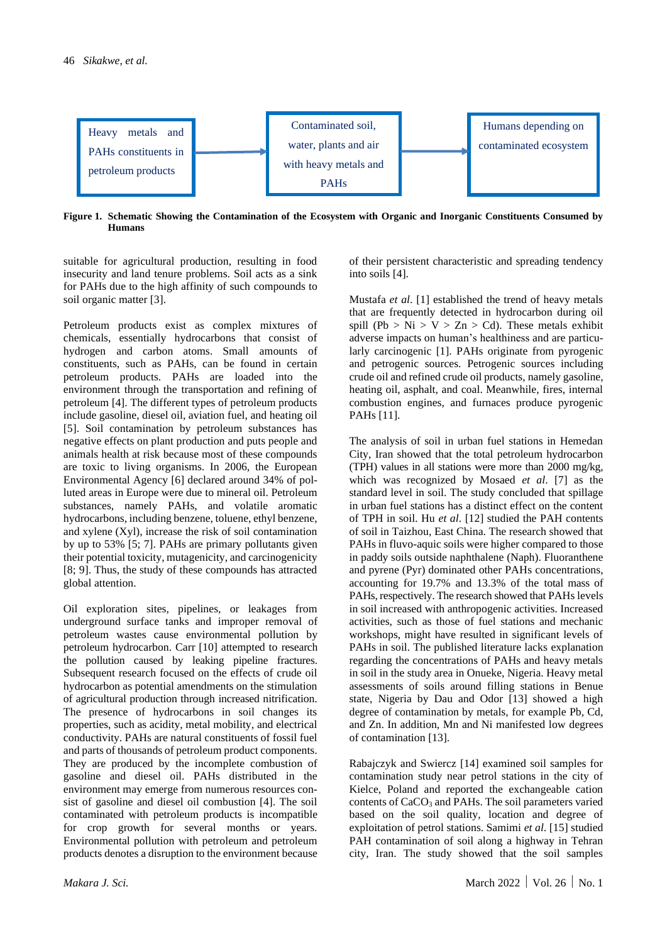

**Figure 1. Schematic Showing the Contamination of the Ecosystem with Organic and Inorganic Constituents Consumed by Humans**

suitable for agricultural production, resulting in food insecurity and land tenure problems. Soil acts as a sink for PAHs due to the high affinity of such compounds to soil organic matter [3].

Petroleum products exist as complex mixtures of chemicals, essentially hydrocarbons that consist of hydrogen and carbon atoms. Small amounts of constituents, such as PAHs, can be found in certain petroleum products. PAHs are loaded into the environment through the transportation and refining of petroleum [4]. The different types of petroleum products include gasoline, diesel oil, aviation fuel, and heating oil [5]. Soil contamination by petroleum substances has negative effects on plant production and puts people and animals health at risk because most of these compounds are toxic to living organisms. In 2006, the European Environmental Agency [6] declared around 34% of polluted areas in Europe were due to mineral oil. Petroleum substances, namely PAHs, and volatile aromatic hydrocarbons, including benzene, toluene, ethyl benzene, and xylene (Xyl), increase the risk of soil contamination by up to 53% [5; 7]. PAHs are primary pollutants given their potential toxicity, mutagenicity, and carcinogenicity [8; 9]. Thus, the study of these compounds has attracted global attention.

Oil exploration sites, pipelines, or leakages from underground surface tanks and improper removal of petroleum wastes cause environmental pollution by petroleum hydrocarbon. Carr [10] attempted to research the pollution caused by leaking pipeline fractures. Subsequent research focused on the effects of crude oil hydrocarbon as potential amendments on the stimulation of agricultural production through increased nitrification. The presence of hydrocarbons in soil changes its properties, such as acidity, metal mobility, and electrical conductivity. PAHs are natural constituents of fossil fuel and parts of thousands of petroleum product components. They are produced by the incomplete combustion of gasoline and diesel oil. PAHs distributed in the environment may emerge from numerous resources consist of gasoline and diesel oil combustion [4]. The soil contaminated with petroleum products is incompatible for crop growth for several months or years. Environmental pollution with petroleum and petroleum products denotes a disruption to the environment because of their persistent characteristic and spreading tendency into soils [4].

Mustafa *et al*. [1] established the trend of heavy metals that are frequently detected in hydrocarbon during oil spill (Pb > Ni > V > Zn > Cd). These metals exhibit adverse impacts on human's healthiness and are particularly carcinogenic [1]. PAHs originate from pyrogenic and petrogenic sources. Petrogenic sources including crude oil and refined crude oil products, namely gasoline, heating oil, asphalt, and coal. Meanwhile, fires, internal combustion engines, and furnaces produce pyrogenic PAHs [11].

The analysis of soil in urban fuel stations in Hemedan City, Iran showed that the total petroleum hydrocarbon (TPH) values in all stations were more than 2000 mg/kg, which was recognized by Mosaed *et al*. [7] as the standard level in soil. The study concluded that spillage in urban fuel stations has a distinct effect on the content of TPH in soil. Hu *et al*. [12] studied the PAH contents of soil in Taizhou, East China. The research showed that PAHs in fluvo-aquic soils were higher compared to those in paddy soils outside naphthalene (Naph). Fluoranthene and pyrene (Pyr) dominated other PAHs concentrations, accounting for 19.7% and 13.3% of the total mass of PAHs, respectively. The research showed that PAHs levels in soil increased with anthropogenic activities. Increased activities, such as those of fuel stations and mechanic workshops, might have resulted in significant levels of PAHs in soil. The published literature lacks explanation regarding the concentrations of PAHs and heavy metals in soil in the study area in Onueke, Nigeria. Heavy metal assessments of soils around filling stations in Benue state, Nigeria by Dau and Odor [13] showed a high degree of contamination by metals, for example Pb, Cd, and Zn. In addition, Mn and Ni manifested low degrees of contamination [13].

Rabajczyk and Swiercz [14] examined soil samples for contamination study near petrol stations in the city of Kielce, Poland and reported the exchangeable cation contents of CaCO<sub>3</sub> and PAHs. The soil parameters varied based on the soil quality, location and degree of exploitation of petrol stations. Samimi *et al*. [15] studied PAH contamination of soil along a highway in Tehran city, Iran. The study showed that the soil samples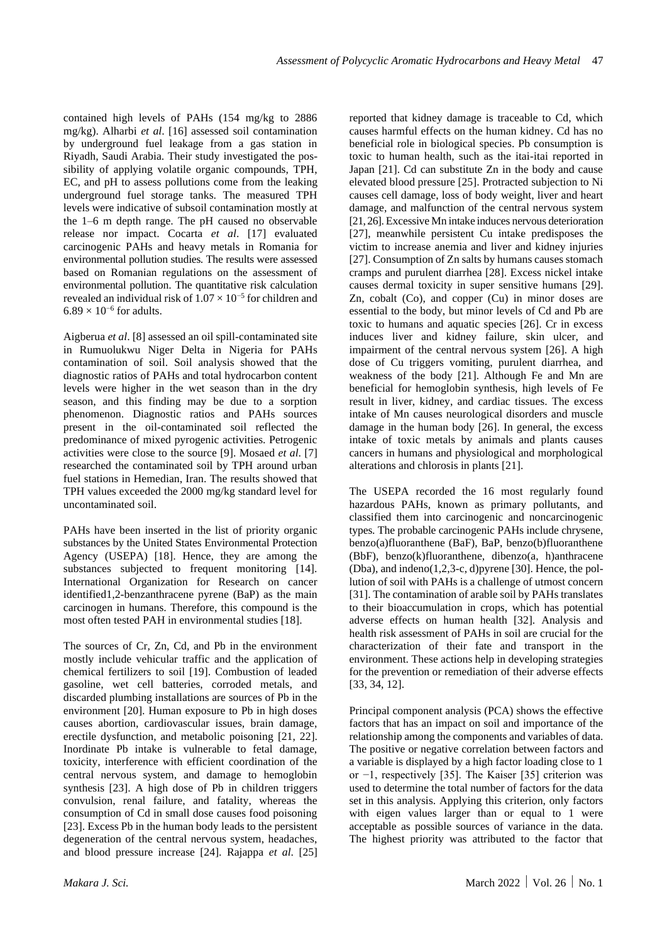contained high levels of PAHs (154 mg/kg to 2886 mg/kg). Alharbi *et al*. [16] assessed soil contamination by underground fuel leakage from a gas station in Riyadh, Saudi Arabia. Their study investigated the possibility of applying volatile organic compounds, TPH, EC, and pH to assess pollutions come from the leaking underground fuel storage tanks. The measured TPH levels were indicative of subsoil contamination mostly at the 1–6 m depth range. The pH caused no observable release nor impact. Cocarta *et al*. [17] evaluated carcinogenic PAHs and heavy metals in Romania for environmental pollution studies. The results were assessed based on Romanian regulations on the assessment of environmental pollution. The quantitative risk calculation revealed an individual risk of  $1.07 \times 10^{-5}$  for children and  $6.89 \times 10^{-6}$  for adults.

Aigberua *et al*. [8] assessed an oil spill-contaminated site in Rumuolukwu Niger Delta in Nigeria for PAHs contamination of soil. Soil analysis showed that the diagnostic ratios of PAHs and total hydrocarbon content levels were higher in the wet season than in the dry season, and this finding may be due to a sorption phenomenon. Diagnostic ratios and PAHs sources present in the oil-contaminated soil reflected the predominance of mixed pyrogenic activities. Petrogenic activities were close to the source [9]. Mosaed *et al*. [7] researched the contaminated soil by TPH around urban fuel stations in Hemedian, Iran. The results showed that TPH values exceeded the 2000 mg/kg standard level for uncontaminated soil.

PAHs have been inserted in the list of priority organic substances by the United States Environmental Protection Agency (USEPA) [18]. Hence, they are among the substances subjected to frequent monitoring [14]. International Organization for Research on cancer identified1,2-benzanthracene pyrene (BaP) as the main carcinogen in humans. Therefore, this compound is the most often tested PAH in environmental studies [18].

The sources of Cr, Zn, Cd, and Pb in the environment mostly include vehicular traffic and the application of chemical fertilizers to soil [19]. Combustion of leaded gasoline, wet cell batteries, corroded metals, and discarded plumbing installations are sources of Pb in the environment [20]. Human exposure to Pb in high doses causes abortion, cardiovascular issues, brain damage, erectile dysfunction, and metabolic poisoning [21, 22]. Inordinate Pb intake is vulnerable to fetal damage, toxicity, interference with efficient coordination of the central nervous system, and damage to hemoglobin synthesis [23]. A high dose of Pb in children triggers convulsion, renal failure, and fatality, whereas the consumption of Cd in small dose causes food poisoning [23]. Excess Pb in the human body leads to the persistent degeneration of the central nervous system, headaches, and blood pressure increase [24]. Rajappa *et al*. [25]

reported that kidney damage is traceable to Cd, which causes harmful effects on the human kidney. Cd has no beneficial role in biological species. Pb consumption is toxic to human health, such as the itai-itai reported in Japan [21]. Cd can substitute Zn in the body and cause elevated blood pressure [25]. Protracted subjection to Ni causes cell damage, loss of body weight, liver and heart damage, and malfunction of the central nervous system [21, 26]. Excessive Mn intake induces nervous deterioration [27], meanwhile persistent Cu intake predisposes the victim to increase anemia and liver and kidney injuries [27]. Consumption of Zn salts by humans causes stomach cramps and purulent diarrhea [28]. Excess nickel intake causes dermal toxicity in super sensitive humans [29]. Zn, cobalt (Co), and copper (Cu) in minor doses are essential to the body, but minor levels of Cd and Pb are toxic to humans and aquatic species [26]. Cr in excess induces liver and kidney failure, skin ulcer, and impairment of the central nervous system [26]. A high dose of Cu triggers vomiting, purulent diarrhea, and weakness of the body [21]. Although Fe and Mn are beneficial for hemoglobin synthesis, high levels of Fe result in liver, kidney, and cardiac tissues. The excess intake of Mn causes neurological disorders and muscle damage in the human body [26]. In general, the excess intake of toxic metals by animals and plants causes cancers in humans and physiological and morphological alterations and chlorosis in plants [21].

The USEPA recorded the 16 most regularly found hazardous PAHs, known as primary pollutants, and classified them into carcinogenic and noncarcinogenic types. The probable carcinogenic PAHs include chrysene, benzo(a)fluoranthene (BaF), BaP, benzo(b)fluoranthene (BbF), benzo(k)fluoranthene, dibenzo(a, h)anthracene (Dba), and indeno(1,2,3-c, d)pyrene [30]. Hence, the pollution of soil with PAHs is a challenge of utmost concern [31]. The contamination of arable soil by PAHs translates to their bioaccumulation in crops, which has potential adverse effects on human health [32]. Analysis and health risk assessment of PAHs in soil are crucial for the characterization of their fate and transport in the environment. These actions help in developing strategies for the prevention or remediation of their adverse effects [33, 34, 12].

Principal component analysis (PCA) shows the effective factors that has an impact on soil and importance of the relationship among the components and variables of data. The positive or negative correlation between factors and a variable is displayed by a high factor loading close to 1 or −1, respectively [35]. The Kaiser [35] criterion was used to determine the total number of factors for the data set in this analysis. Applying this criterion, only factors with eigen values larger than or equal to 1 were acceptable as possible sources of variance in the data. The highest priority was attributed to the factor that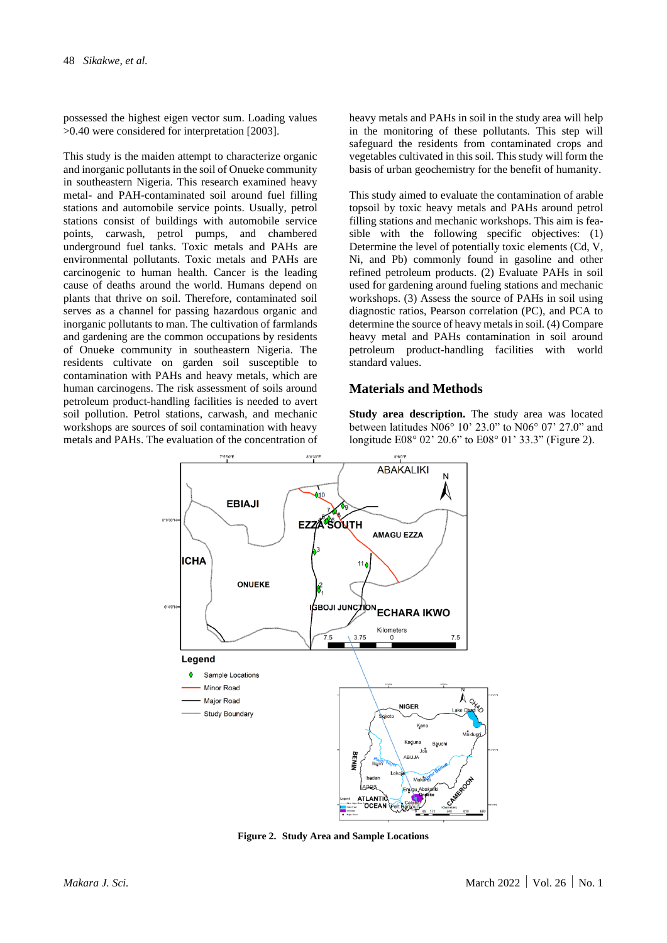possessed the highest eigen vector sum. Loading values >0.40 were considered for interpretation [2003].

This study is the maiden attempt to characterize organic and inorganic pollutants in the soil of Onueke community in southeastern Nigeria. This research examined heavy metal- and PAH-contaminated soil around fuel filling stations and automobile service points. Usually, petrol stations consist of buildings with automobile service points, carwash, petrol pumps, and chambered underground fuel tanks. Toxic metals and PAHs are environmental pollutants. Toxic metals and PAHs are carcinogenic to human health. Cancer is the leading cause of deaths around the world. Humans depend on plants that thrive on soil. Therefore, contaminated soil serves as a channel for passing hazardous organic and inorganic pollutants to man. The cultivation of farmlands and gardening are the common occupations by residents of Onueke community in southeastern Nigeria. The residents cultivate on garden soil susceptible to contamination with PAHs and heavy metals, which are human carcinogens. The risk assessment of soils around petroleum product-handling facilities is needed to avert soil pollution. Petrol stations, carwash, and mechanic workshops are sources of soil contamination with heavy metals and PAHs. The evaluation of the concentration of heavy metals and PAHs in soil in the study area will help in the monitoring of these pollutants. This step will safeguard the residents from contaminated crops and vegetables cultivated in this soil. This study will form the basis of urban geochemistry for the benefit of humanity.

This study aimed to evaluate the contamination of arable topsoil by toxic heavy metals and PAHs around petrol filling stations and mechanic workshops. This aim is feasible with the following specific objectives: (1) Determine the level of potentially toxic elements (Cd, V, Ni, and Pb) commonly found in gasoline and other refined petroleum products. (2) Evaluate PAHs in soil used for gardening around fueling stations and mechanic workshops. (3) Assess the source of PAHs in soil using diagnostic ratios, Pearson correlation (PC), and PCA to determine the source of heavy metals in soil. (4) Compare heavy metal and PAHs contamination in soil around petroleum product-handling facilities with world standard values.

#### **Materials and Methods**

**Study area description.** The study area was located between latitudes N06° 10' 23.0" to N06° 07' 27.0" and longitude E08° 02' 20.6" to E08° 01' 33.3" (Figure 2).



**Figure 2. Study Area and Sample Locations**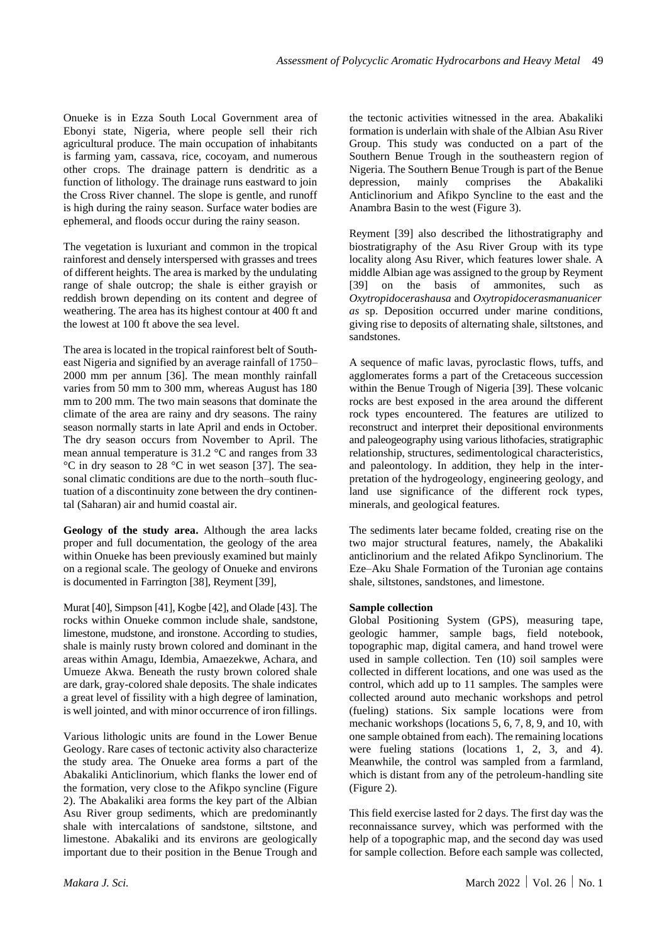Onueke is in Ezza South Local Government area of Ebonyi state, Nigeria, where people sell their rich agricultural produce. The main occupation of inhabitants is farming yam, cassava, rice, cocoyam, and numerous other crops. The drainage pattern is dendritic as a function of lithology. The drainage runs eastward to join the Cross River channel. The slope is gentle, and runoff is high during the rainy season. Surface water bodies are ephemeral, and floods occur during the rainy season.

The vegetation is luxuriant and common in the tropical rainforest and densely interspersed with grasses and trees of different heights. The area is marked by the undulating range of shale outcrop; the shale is either grayish or reddish brown depending on its content and degree of weathering. The area has its highest contour at 400 ft and the lowest at 100 ft above the sea level.

The area is located in the tropical rainforest belt of Southeast Nigeria and signified by an average rainfall of 1750– 2000 mm per annum [36]. The mean monthly rainfall varies from 50 mm to 300 mm, whereas August has 180 mm to 200 mm. The two main seasons that dominate the climate of the area are rainy and dry seasons. The rainy season normally starts in late April and ends in October. The dry season occurs from November to April. The mean annual temperature is 31.2 °C and ranges from 33 °C in dry season to 28 °C in wet season [37]. The seasonal climatic conditions are due to the north–south fluctuation of a discontinuity zone between the dry continental (Saharan) air and humid coastal air.

**Geology of the study area.** Although the area lacks proper and full documentation, the geology of the area within Onueke has been previously examined but mainly on a regional scale. The geology of Onueke and environs is documented in Farrington [38], Reyment [39],

Murat [40], Simpson [41], Kogbe [42], and Olade [43]. The rocks within Onueke common include shale, sandstone, limestone, mudstone, and ironstone. According to studies, shale is mainly rusty brown colored and dominant in the areas within Amagu, Idembia, Amaezekwe, Achara, and Umueze Akwa. Beneath the rusty brown colored shale are dark, gray-colored shale deposits. The shale indicates a great level of fissility with a high degree of lamination, is well jointed, and with minor occurrence of iron fillings.

Various lithologic units are found in the Lower Benue Geology. Rare cases of tectonic activity also characterize the study area. The Onueke area forms a part of the Abakaliki Anticlinorium, which flanks the lower end of the formation, very close to the Afikpo syncline (Figure 2). The Abakaliki area forms the key part of the Albian Asu River group sediments, which are predominantly shale with intercalations of sandstone, siltstone, and limestone. Abakaliki and its environs are geologically important due to their position in the Benue Trough and the tectonic activities witnessed in the area. Abakaliki formation is underlain with shale of the Albian Asu River Group. This study was conducted on a part of the Southern Benue Trough in the southeastern region of Nigeria. The Southern Benue Trough is part of the Benue depression, mainly comprises the Abakaliki Anticlinorium and Afikpo Syncline to the east and the Anambra Basin to the west (Figure 3).

Reyment [39] also described the lithostratigraphy and biostratigraphy of the Asu River Group with its type locality along Asu River, which features lower shale. A middle Albian age was assigned to the group by Reyment [39] on the basis of ammonites, such as *Oxytropidocerashausa* and *Oxytropidocerasmanuanicer as* sp. Deposition occurred under marine conditions, giving rise to deposits of alternating shale, siltstones, and sandstones.

A sequence of mafic lavas, pyroclastic flows, tuffs, and agglomerates forms a part of the Cretaceous succession within the Benue Trough of Nigeria [39]. These volcanic rocks are best exposed in the area around the different rock types encountered. The features are utilized to reconstruct and interpret their depositional environments and paleogeography using various lithofacies, stratigraphic relationship, structures, sedimentological characteristics, and paleontology. In addition, they help in the interpretation of the hydrogeology, engineering geology, and land use significance of the different rock types, minerals, and geological features.

The sediments later became folded, creating rise on the two major structural features, namely, the Abakaliki anticlinorium and the related Afikpo Synclinorium. The Eze–Aku Shale Formation of the Turonian age contains shale, siltstones, sandstones, and limestone.

#### **Sample collection**

Global Positioning System (GPS), measuring tape, geologic hammer, sample bags, field notebook, topographic map, digital camera, and hand trowel were used in sample collection. Ten (10) soil samples were collected in different locations, and one was used as the control, which add up to 11 samples. The samples were collected around auto mechanic workshops and petrol (fueling) stations. Six sample locations were from mechanic workshops (locations 5, 6, 7, 8, 9, and 10, with one sample obtained from each). The remaining locations were fueling stations (locations 1, 2, 3, and 4). Meanwhile, the control was sampled from a farmland, which is distant from any of the petroleum-handling site (Figure 2).

This field exercise lasted for 2 days. The first day was the reconnaissance survey, which was performed with the help of a topographic map, and the second day was used for sample collection. Before each sample was collected,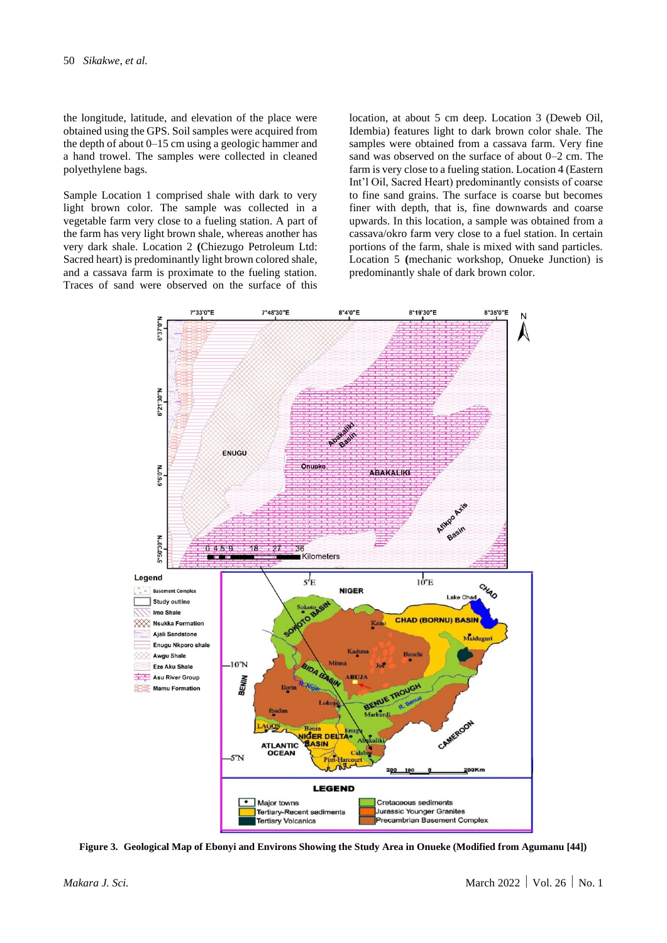the longitude, latitude, and elevation of the place were obtained using the GPS. Soil samples were acquired from the depth of about 0–15 cm using a geologic hammer and a hand trowel. The samples were collected in cleaned polyethylene bags.

Sample Location 1 comprised shale with dark to very light brown color. The sample was collected in a vegetable farm very close to a fueling station. A part of the farm has very light brown shale, whereas another has very dark shale. Location 2 **(**Chiezugo Petroleum Ltd: Sacred heart) is predominantly light brown colored shale, and a cassava farm is proximate to the fueling station. Traces of sand were observed on the surface of this

location, at about 5 cm deep. Location 3 (Deweb Oil, Idembia) features light to dark brown color shale. The samples were obtained from a cassava farm. Very fine sand was observed on the surface of about 0–2 cm. The farm is very close to a fueling station. Location 4 (Eastern Int'l Oil, Sacred Heart) predominantly consists of coarse to fine sand grains. The surface is coarse but becomes finer with depth, that is, fine downwards and coarse upwards. In this location, a sample was obtained from a cassava/okro farm very close to a fuel station. In certain portions of the farm, shale is mixed with sand particles. Location 5 **(**mechanic workshop, Onueke Junction) is predominantly shale of dark brown color.



**Figure 3. Geological Map of Ebonyi and Environs Showing the Study Area in Onueke (Modified from Agumanu [44])**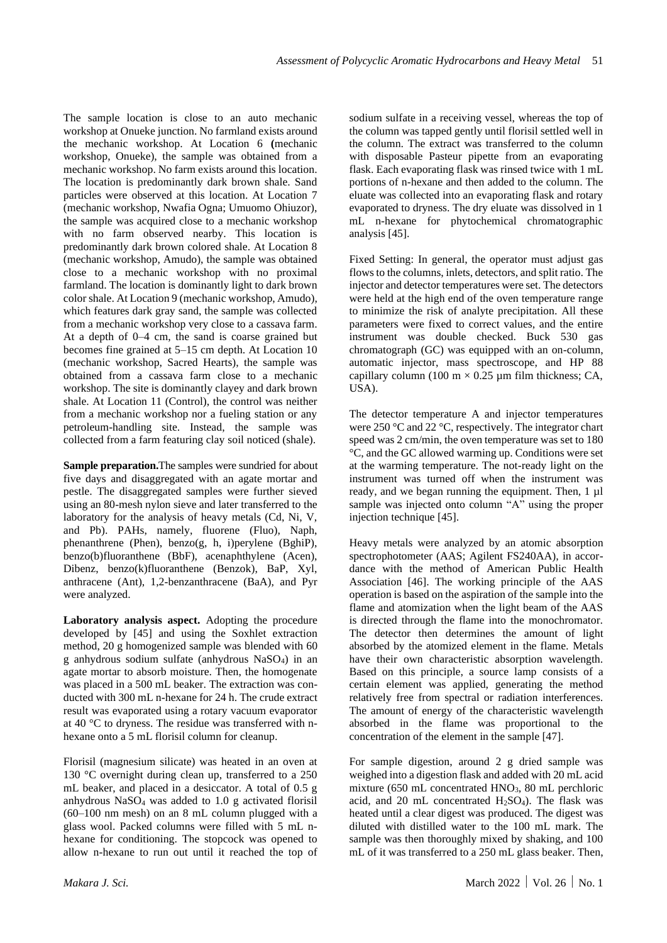The sample location is close to an auto mechanic workshop at Onueke junction. No farmland exists around the mechanic workshop. At Location 6 **(**mechanic workshop, Onueke), the sample was obtained from a mechanic workshop. No farm exists around this location. The location is predominantly dark brown shale. Sand particles were observed at this location. At Location 7 (mechanic workshop, Nwafia Ogna; Umuomo Ohiuzor), the sample was acquired close to a mechanic workshop with no farm observed nearby. This location is predominantly dark brown colored shale. At Location 8 (mechanic workshop, Amudo), the sample was obtained close to a mechanic workshop with no proximal farmland. The location is dominantly light to dark brown color shale. At Location 9 (mechanic workshop, Amudo), which features dark gray sand, the sample was collected from a mechanic workshop very close to a cassava farm. At a depth of 0–4 cm, the sand is coarse grained but becomes fine grained at 5–15 cm depth. At Location 10 (mechanic workshop, Sacred Hearts), the sample was obtained from a cassava farm close to a mechanic workshop. The site is dominantly clayey and dark brown shale. At Location 11 (Control), the control was neither from a mechanic workshop nor a fueling station or any petroleum-handling site. Instead, the sample was collected from a farm featuring clay soil noticed (shale).

**Sample preparation.**The samples were sundried for about five days and disaggregated with an agate mortar and pestle. The disaggregated samples were further sieved using an 80-mesh nylon sieve and later transferred to the laboratory for the analysis of heavy metals (Cd, Ni, V, and Pb). PAHs, namely, fluorene (Fluo), Naph, phenanthrene (Phen), benzo(g, h, i)perylene (BghiP), benzo(b)fluoranthene (BbF), acenaphthylene (Acen), Dibenz, benzo(k)fluoranthene (Benzok), BaP, Xyl, anthracene (Ant), 1,2-benzanthracene (BaA), and Pyr were analyzed.

**Laboratory analysis aspect.** Adopting the procedure developed by [45] and using the Soxhlet extraction method, 20 g homogenized sample was blended with 60 g anhydrous sodium sulfate (anhydrous NaSO4) in an agate mortar to absorb moisture. Then, the homogenate was placed in a 500 mL beaker. The extraction was conducted with 300 mL n-hexane for 24 h. The crude extract result was evaporated using a rotary vacuum evaporator at 40 °C to dryness. The residue was transferred with nhexane onto a 5 mL florisil column for cleanup.

Florisil (magnesium silicate) was heated in an oven at 130 °C overnight during clean up, transferred to a 250 mL beaker, and placed in a desiccator. A total of 0.5 g anhydrous NaSO<sup>4</sup> was added to 1.0 g activated florisil (60–100 nm mesh) on an 8 mL column plugged with a glass wool. Packed columns were filled with 5 mL nhexane for conditioning. The stopcock was opened to allow n-hexane to run out until it reached the top of sodium sulfate in a receiving vessel, whereas the top of the column was tapped gently until florisil settled well in the column. The extract was transferred to the column with disposable Pasteur pipette from an evaporating flask. Each evaporating flask was rinsed twice with 1 mL portions of n-hexane and then added to the column. The eluate was collected into an evaporating flask and rotary evaporated to dryness. The dry eluate was dissolved in 1 mL n-hexane for phytochemical chromatographic analysis [45].

Fixed Setting: In general, the operator must adjust gas flows to the columns, inlets, detectors, and split ratio. The injector and detector temperatures were set. The detectors were held at the high end of the oven temperature range to minimize the risk of analyte precipitation. All these parameters were fixed to correct values, and the entire instrument was double checked. Buck 530 gas chromatograph (GC) was equipped with an on-column, automatic injector, mass spectroscope, and HP 88 capillary column (100 m  $\times$  0.25 µm film thickness; CA, USA).

The detector temperature A and injector temperatures were 250 °C and 22 °C, respectively. The integrator chart speed was 2 cm/min, the oven temperature was set to 180 °C, and the GC allowed warming up. Conditions were set at the warming temperature. The not-ready light on the instrument was turned off when the instrument was ready, and we began running the equipment. Then, 1 µl sample was injected onto column "A" using the proper injection technique [45].

Heavy metals were analyzed by an atomic absorption spectrophotometer (AAS; Agilent FS240AA), in accordance with the method of American Public Health Association [46]. The working principle of the AAS operation is based on the aspiration of the sample into the flame and atomization when the light beam of the AAS is directed through the flame into the monochromator. The detector then determines the amount of light absorbed by the atomized element in the flame. Metals have their own characteristic absorption wavelength. Based on this principle, a source lamp consists of a certain element was applied, generating the method relatively free from spectral or radiation interferences. The amount of energy of the characteristic wavelength absorbed in the flame was proportional to the concentration of the element in the sample [47].

For sample digestion, around 2 g dried sample was weighed into a digestion flask and added with 20 mL acid mixture (650 mL concentrated HNO<sub>3</sub>, 80 mL perchloric acid, and 20 mL concentrated  $H_2SO_4$ ). The flask was heated until a clear digest was produced. The digest was diluted with distilled water to the 100 mL mark. The sample was then thoroughly mixed by shaking, and 100 mL of it was transferred to a 250 mL glass beaker. Then,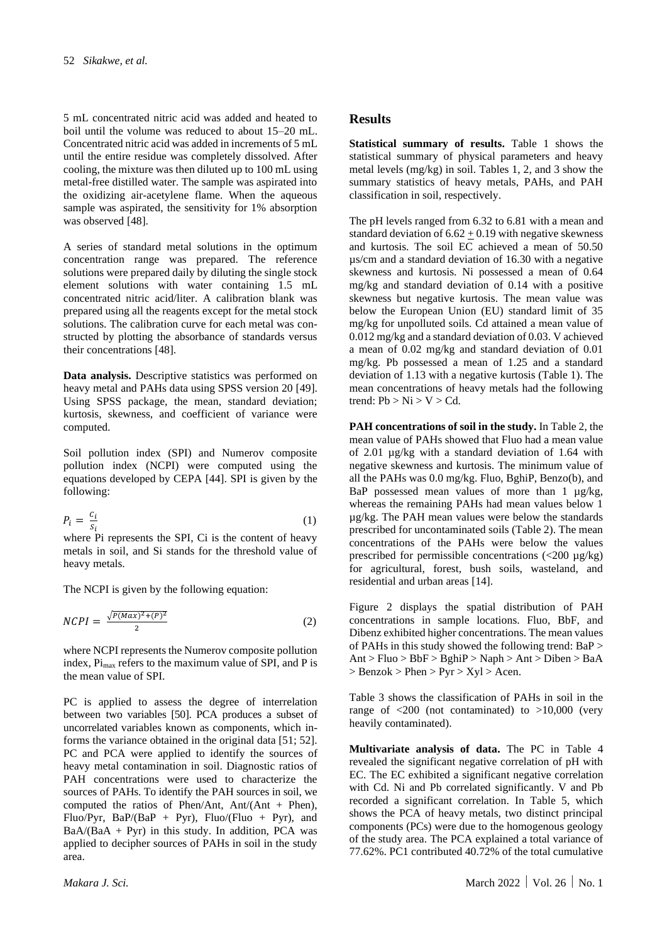5 mL concentrated nitric acid was added and heated to boil until the volume was reduced to about 15–20 mL. Concentrated nitric acid was added in increments of 5 mL until the entire residue was completely dissolved. After cooling, the mixture was then diluted up to 100 mL using metal-free distilled water. The sample was aspirated into the oxidizing air-acetylene flame. When the aqueous sample was aspirated, the sensitivity for 1% absorption was observed [48].

A series of standard metal solutions in the optimum concentration range was prepared. The reference solutions were prepared daily by diluting the single stock element solutions with water containing 1.5 mL concentrated nitric acid/liter. A calibration blank was prepared using all the reagents except for the metal stock solutions. The calibration curve for each metal was constructed by plotting the absorbance of standards versus their concentrations [48].

**Data analysis.** Descriptive statistics was performed on heavy metal and PAHs data using SPSS version 20 [49]. Using SPSS package, the mean, standard deviation; kurtosis, skewness, and coefficient of variance were computed.

Soil pollution index (SPI) and Numerov composite pollution index (NCPI) were computed using the equations developed by CEPA [44]. SPI is given by the following:

$$
P_i = \frac{c_i}{s_i} \tag{1}
$$

where Pi represents the SPI, Ci is the content of heavy metals in soil, and Si stands for the threshold value of heavy metals.

The NCPI is given by the following equation:

$$
NCPI = \frac{\sqrt{P(Max)^2 + (P)^2}}{2} \tag{2}
$$

where NCPI represents the Numerov composite pollution index,  $Pi_{\text{max}}$  refers to the maximum value of SPI, and P is the mean value of SPI.

PC is applied to assess the degree of interrelation between two variables [50]. PCA produces a subset of uncorrelated variables known as components, which informs the variance obtained in the original data [51; 52]. PC and PCA were applied to identify the sources of heavy metal contamination in soil. Diagnostic ratios of PAH concentrations were used to characterize the sources of PAHs. To identify the PAH sources in soil, we computed the ratios of Phen/Ant,  $Ant/(Ant + Phen)$ , Fluo/Pyr, BaP/(BaP + Pyr), Fluo/(Fluo + Pyr), and  $BaA/(BaA + Pyr)$  in this study. In addition, PCA was applied to decipher sources of PAHs in soil in the study area.

#### **Results**

**Statistical summary of results.** Table 1 shows the statistical summary of physical parameters and heavy metal levels (mg/kg) in soil. Tables 1, 2, and 3 show the summary statistics of heavy metals, PAHs, and PAH classification in soil, respectively.

The pH levels ranged from 6.32 to 6.81 with a mean and standard deviation of  $6.62 \pm 0.19$  with negative skewness and kurtosis. The soil EC achieved a mean of 50.50 µs/cm and a standard deviation of 16.30 with a negative skewness and kurtosis. Ni possessed a mean of 0.64 mg/kg and standard deviation of 0.14 with a positive skewness but negative kurtosis. The mean value was below the European Union (EU) standard limit of 35 mg/kg for unpolluted soils. Cd attained a mean value of 0.012 mg/kg and a standard deviation of 0.03. V achieved a mean of 0.02 mg/kg and standard deviation of 0.01 mg/kg. Pb possessed a mean of 1.25 and a standard deviation of 1.13 with a negative kurtosis (Table 1). The mean concentrations of heavy metals had the following trend:  $Pb > Ni > V > Cd$ .

**PAH concentrations of soil in the study.** In Table 2, the mean value of PAHs showed that Fluo had a mean value of 2.01 µg/kg with a standard deviation of 1.64 with negative skewness and kurtosis. The minimum value of all the PAHs was 0.0 mg/kg. Fluo, BghiP, Benzo(b), and BaP possessed mean values of more than  $1 \mu g/kg$ , whereas the remaining PAHs had mean values below 1 µg/kg. The PAH mean values were below the standards prescribed for uncontaminated soils (Table 2). The mean concentrations of the PAHs were below the values prescribed for permissible concentrations  $\langle$  <200  $\mu$ g/kg) for agricultural, forest, bush soils, wasteland, and residential and urban areas [14].

Figure 2 displays the spatial distribution of PAH concentrations in sample locations. Fluo, BbF, and Dibenz exhibited higher concentrations. The mean values of PAHs in this study showed the following trend: BaP >  $Ant > Fluo > BbF > BghiP > Naph > Ant > Diben > BaA$  $>$  Benzok  $>$  Phen  $>$  Pyr  $>$  Xyl  $>$  Acen.

Table 3 shows the classification of PAHs in soil in the range of  $\langle 200 \rangle$  (not contaminated) to  $>10,000$  (very heavily contaminated).

**Multivariate analysis of data.** The PC in Table 4 revealed the significant negative correlation of pH with EC. The EC exhibited a significant negative correlation with Cd. Ni and Pb correlated significantly. V and Pb recorded a significant correlation. In Table 5, which shows the PCA of heavy metals, two distinct principal components (PCs) were due to the homogenous geology of the study area. The PCA explained a total variance of 77.62%. PC1 contributed 40.72% of the total cumulative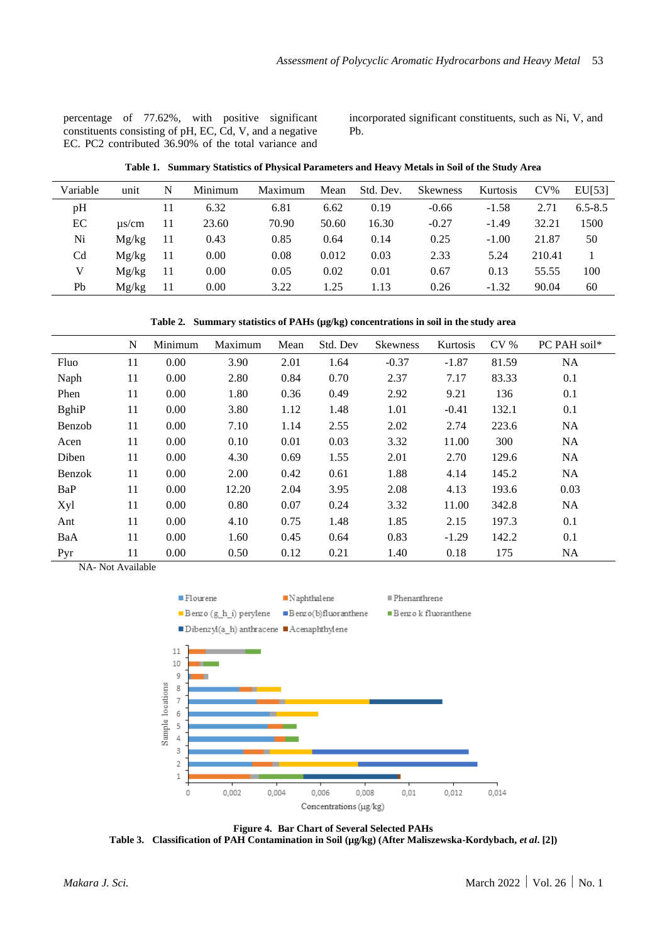percentage of 77.62%, with positive significant constituents consisting of pH, EC, Cd, V, and a negative EC. PC2 contributed 36.90% of the total variance and

incorporated significant constituents, such as Ni, V, and Pb.

**Table 1. Summary Statistics of Physical Parameters and Heavy Metals in Soil of the Study Area**

| Variable       | unit       | N  | Minimum | Maximum | Mean  | Std. Dev. | <b>Skewness</b> | Kurtosis | $CV\%$ | EU[53]      |
|----------------|------------|----|---------|---------|-------|-----------|-----------------|----------|--------|-------------|
| pH             |            |    | 6.32    | 6.81    | 6.62  | 0.19      | $-0.66$         | $-1.58$  | 2.71   | $6.5 - 8.5$ |
| EC             | $\mu$ s/cm | 11 | 23.60   | 70.90   | 50.60 | 16.30     | $-0.27$         | $-1.49$  | 32.21  | 1500        |
| Ni             | Mg/kg      | 11 | 0.43    | 0.85    | 0.64  | 0.14      | 0.25            | $-1.00$  | 21.87  | 50          |
| C <sub>d</sub> | Mg/kg      | 11 | 0.00    | 0.08    | 0.012 | 0.03      | 2.33            | 5.24     | 210.41 |             |
|                | Mg/kg      | 11 | 0.00    | 0.05    | 0.02  | 0.01      | 0.67            | 0.13     | 55.55  | 100         |
| Pb             | Mg/kg      | 11 | 0.00    | 3.22    | 1.25  | 1.13      | 0.26            | $-1.32$  | 90.04  | 60          |

**Table 2. Summary statistics of PAHs (µg/kg) concentrations in soil in the study area**

|               | N      | Minimum | Maximum | Mean | Std. Dev | <b>Skewness</b> | Kurtosis | CV <sub>0</sub> | PC PAH soil* |
|---------------|--------|---------|---------|------|----------|-----------------|----------|-----------------|--------------|
| Fluo          | 11     | 0.00    | 3.90    | 2.01 | 1.64     | $-0.37$         | $-1.87$  | 81.59           | <b>NA</b>    |
| Naph          | 11     | 0.00    | 2.80    | 0.84 | 0.70     | 2.37            | 7.17     | 83.33           | 0.1          |
| Phen          | 11     | 0.00    | 1.80    | 0.36 | 0.49     | 2.92            | 9.21     | 136             | 0.1          |
| <b>B</b> ghiP | 11     | 0.00    | 3.80    | 1.12 | 1.48     | 1.01            | $-0.41$  | 132.1           | 0.1          |
| Benzob        | 11     | 0.00    | 7.10    | 1.14 | 2.55     | 2.02            | 2.74     | 223.6           | <b>NA</b>    |
| Acen          | 11     | 0.00    | 0.10    | 0.01 | 0.03     | 3.32            | 11.00    | 300             | <b>NA</b>    |
| Diben         | 11     | 0.00    | 4.30    | 0.69 | 1.55     | 2.01            | 2.70     | 129.6           | <b>NA</b>    |
| Benzok        | 11     | 0.00    | 2.00    | 0.42 | 0.61     | 1.88            | 4.14     | 145.2           | <b>NA</b>    |
| BaP           | 11     | 0.00    | 12.20   | 2.04 | 3.95     | 2.08            | 4.13     | 193.6           | 0.03         |
| Xyl           | 11     | 0.00    | 0.80    | 0.07 | 0.24     | 3.32            | 11.00    | 342.8           | <b>NA</b>    |
| Ant           | 11     | 0.00    | 4.10    | 0.75 | 1.48     | 1.85            | 2.15     | 197.3           | 0.1          |
| BaA           | 11     | 0.00    | 1.60    | 0.45 | 0.64     | 0.83            | $-1.29$  | 142.2           | 0.1          |
| Pyr           | 11<br> | 0.00    | 0.50    | 0.12 | 0.21     | 1.40            | 0.18     | 175             | <b>NA</b>    |

NA- Not Available



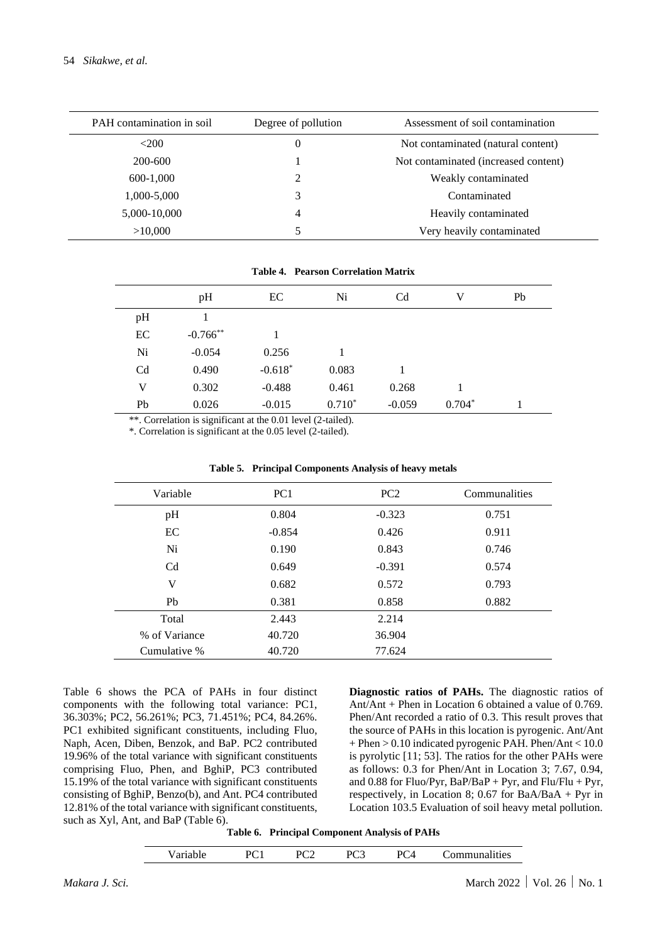| PAH contamination in soil | Degree of pollution | Assessment of soil contamination     |
|---------------------------|---------------------|--------------------------------------|
| <200                      | 0                   | Not contaminated (natural content)   |
| 200-600                   |                     | Not contaminated (increased content) |
| 600-1,000                 | 2                   | Weakly contaminated                  |
| 1,000-5,000               | 3                   | Contaminated                         |
| 5,000-10,000              | 4                   | Heavily contaminated                 |
| >10,000                   | 5                   | Very heavily contaminated            |

|                | pH          | EC        | Ni       | C <sub>d</sub> | v        | Pb |  |
|----------------|-------------|-----------|----------|----------------|----------|----|--|
| pH             |             |           |          |                |          |    |  |
| EC             | $-0.766$ ** |           |          |                |          |    |  |
| Ni             | $-0.054$    | 0.256     |          |                |          |    |  |
| C <sub>d</sub> | 0.490       | $-0.618*$ | 0.083    |                |          |    |  |
| V              | 0.302       | $-0.488$  | 0.461    | 0.268          |          |    |  |
| Pb             | 0.026       | $-0.015$  | $0.710*$ | $-0.059$       | $0.704*$ |    |  |

**Table 4. Pearson Correlation Matrix**

\*\*. Correlation is significant at the 0.01 level (2-tailed).

\*. Correlation is significant at the 0.05 level (2-tailed).

| Variable       | PC <sub>1</sub> | PC2      | Communalities |
|----------------|-----------------|----------|---------------|
| pH             | 0.804           | $-0.323$ | 0.751         |
| EC             | $-0.854$        | 0.426    | 0.911         |
| Ni             | 0.190           | 0.843    | 0.746         |
| C <sub>d</sub> | 0.649           | $-0.391$ | 0.574         |
| V              | 0.682           | 0.572    | 0.793         |
| Ph             | 0.381           | 0.858    | 0.882         |
| Total          | 2.443           | 2.214    |               |
| % of Variance  | 40.720          | 36.904   |               |
| Cumulative %   | 40.720          | 77.624   |               |
|                |                 |          |               |

**Table 5. Principal Components Analysis of heavy metals**

Table 6 shows the PCA of PAHs in four distinct components with the following total variance: PC1, 36.303%; PC2, 56.261%; PC3, 71.451%; PC4, 84.26%. PC1 exhibited significant constituents, including Fluo, Naph, Acen, Diben, Benzok, and BaP. PC2 contributed 19.96% of the total variance with significant constituents comprising Fluo, Phen, and BghiP, PC3 contributed 15.19% of the total variance with significant constituents consisting of BghiP, Benzo(b), and Ant. PC4 contributed 12.81% of the total variance with significant constituents, such as Xyl, Ant, and BaP (Table 6).

**Diagnostic ratios of PAHs.** The diagnostic ratios of Ant/Ant + Phen in Location 6 obtained a value of 0.769. Phen/Ant recorded a ratio of 0.3. This result proves that the source of PAHs in this location is pyrogenic. Ant/Ant  $+$  Phen  $> 0.10$  indicated pyrogenic PAH. Phen/Ant  $< 10.0$ is pyrolytic [11; 53]. The ratios for the other PAHs were as follows: 0.3 for Phen/Ant in Location 3; 7.67, 0.94, and 0.88 for Fluo/Pyr, BaP/BaP + Pyr, and Flu/Flu + Pyr, respectively, in Location 8; 0.67 for BaA/BaA + Pyr in Location 103.5 Evaluation of soil heavy metal pollution.

|  | Table 6. Principal Component Analysis of PAHs |  |
|--|-----------------------------------------------|--|
|  |                                               |  |

| ariable | $\mathsf{P} \mathsf{C}$ | ാ∼<br>◡ | л<br>ັ | м | ommunalities |
|---------|-------------------------|---------|--------|---|--------------|
|---------|-------------------------|---------|--------|---|--------------|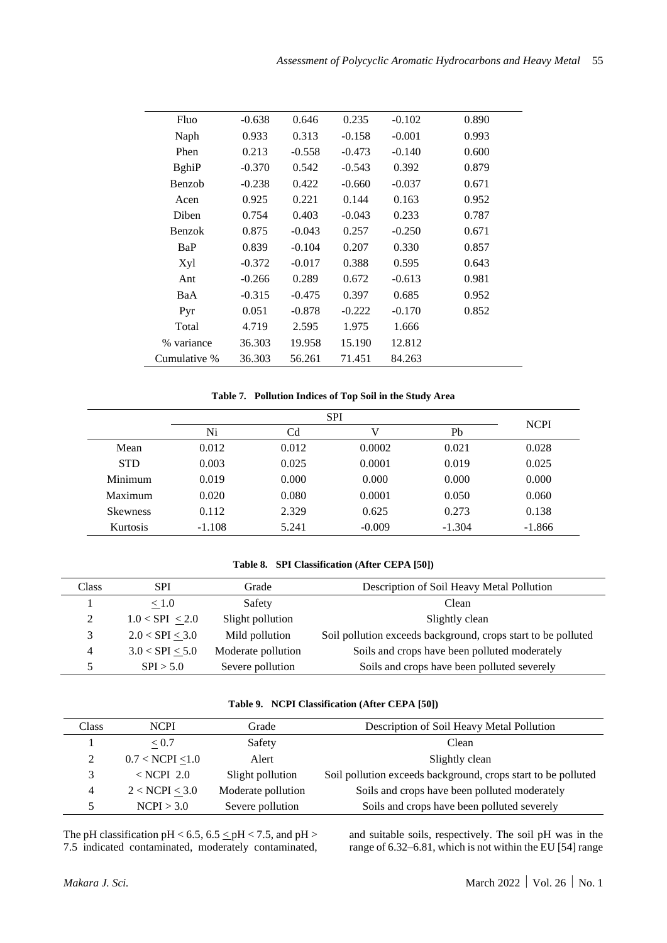| Fluo          | $-0.638$ | 0.646    | 0.235    | $-0.102$ | 0.890 |
|---------------|----------|----------|----------|----------|-------|
| Naph          | 0.933    | 0.313    | $-0.158$ | $-0.001$ | 0.993 |
| Phen          | 0.213    | $-0.558$ | $-0.473$ | $-0.140$ | 0.600 |
| <b>BghiP</b>  | $-0.370$ | 0.542    | $-0.543$ | 0.392    | 0.879 |
| Benzob        | $-0.238$ | 0.422    | $-0.660$ | $-0.037$ | 0.671 |
| Acen          | 0.925    | 0.221    | 0.144    | 0.163    | 0.952 |
| Diben         | 0.754    | 0.403    | $-0.043$ | 0.233    | 0.787 |
| <b>Benzok</b> | 0.875    | $-0.043$ | 0.257    | $-0.250$ | 0.671 |
| BaP           | 0.839    | $-0.104$ | 0.207    | 0.330    | 0.857 |
| Xyl           | $-0.372$ | $-0.017$ | 0.388    | 0.595    | 0.643 |
| Ant           | $-0.266$ | 0.289    | 0.672    | $-0.613$ | 0.981 |
| BaA           | $-0.315$ | $-0.475$ | 0.397    | 0.685    | 0.952 |
| Pyr           | 0.051    | $-0.878$ | $-0.222$ | $-0.170$ | 0.852 |
| Total         | 4.719    | 2.595    | 1.975    | 1.666    |       |
| % variance    | 36.303   | 19.958   | 15.190   | 12.812   |       |
| Cumulative %  | 36.303   | 56.261   | 71.451   | 84.263   |       |
|               |          |          |          |          |       |

#### **Table 7. Pollution Indices of Top Soil in the Study Area**

|                 |          | <b>SPI</b> |          |          |             |  |
|-----------------|----------|------------|----------|----------|-------------|--|
|                 | Ni       | Cd         |          | Pb       | <b>NCPI</b> |  |
| Mean            | 0.012    | 0.012      | 0.0002   | 0.021    | 0.028       |  |
| <b>STD</b>      | 0.003    | 0.025      | 0.0001   | 0.019    | 0.025       |  |
| Minimum         | 0.019    | 0.000      | 0.000    | 0.000    | 0.000       |  |
| Maximum         | 0.020    | 0.080      | 0.0001   | 0.050    | 0.060       |  |
| <b>Skewness</b> | 0.112    | 2.329      | 0.625    | 0.273    | 0.138       |  |
| <b>Kurtosis</b> | $-1.108$ | 5.241      | $-0.009$ | $-1.304$ | $-1.866$    |  |

#### **Table 8. SPI Classification (After CEPA [50])**

| Class | <b>SPI</b>          | Grade              | Description of Soil Heavy Metal Pollution                     |
|-------|---------------------|--------------------|---------------------------------------------------------------|
|       | < 1.0               | Safety             | Clean                                                         |
|       | 1.0 < SPI < 2.0     | Slight pollution   | Slightly clean                                                |
|       | 2.0 < SPI < 3.0     | Mild pollution     | Soil pollution exceeds background, crops start to be polluted |
| 4     | $3.0 < SPI \le 5.0$ | Moderate pollution | Soils and crops have been polluted moderately                 |
|       | SPI > 5.0           | Severe pollution   | Soils and crops have been polluted severely                   |

### **Table 9. NCPI Classification (After CEPA [50])**

| Class | <b>NCPI</b>          | Grade              | Description of Soil Heavy Metal Pollution                     |
|-------|----------------------|--------------------|---------------------------------------------------------------|
|       | < 0.7                | Safety             | Clean                                                         |
|       | $0.7 <$ NCPI $< 1.0$ | Alert              | Slightly clean                                                |
|       | $<$ NCPI 2.0         | Slight pollution   | Soil pollution exceeds background, crops start to be polluted |
| 4     | $2 <$ NCPI $< 3.0$   | Moderate pollution | Soils and crops have been polluted moderately                 |
|       | NCPI > 3.0           | Severe pollution   | Soils and crops have been polluted severely                   |

The pH classification pH < 6.5, 6.5  $\le$  pH < 7.5, and pH > 7.5 indicated contaminated, moderately contaminated,

and suitable soils, respectively. The soil pH was in the range of 6.32–6.81, which is not within the EU [54] range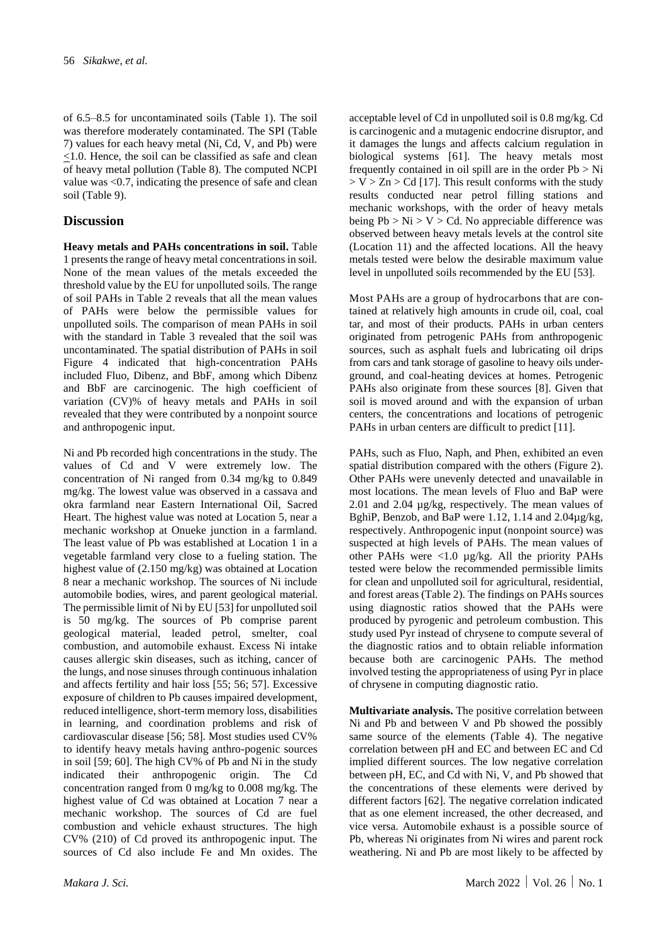of 6.5–8.5 for uncontaminated soils (Table 1). The soil was therefore moderately contaminated. The SPI (Table 7) values for each heavy metal (Ni, Cd, V, and Pb) were <1.0. Hence, the soil can be classified as safe and clean of heavy metal pollution (Table 8). The computed NCPI value was <0.7, indicating the presence of safe and clean soil (Table 9).

#### **Discussion**

**Heavy metals and PAHs concentrations in soil.** Table 1 presents the range of heavy metal concentrations in soil. None of the mean values of the metals exceeded the threshold value by the EU for unpolluted soils. The range of soil PAHs in Table 2 reveals that all the mean values of PAHs were below the permissible values for unpolluted soils. The comparison of mean PAHs in soil with the standard in Table 3 revealed that the soil was uncontaminated. The spatial distribution of PAHs in soil Figure 4 indicated that high-concentration PAHs included Fluo, Dibenz, and BbF, among which Dibenz and BbF are carcinogenic. The high coefficient of variation (CV)% of heavy metals and PAHs in soil revealed that they were contributed by a nonpoint source and anthropogenic input.

Ni and Pb recorded high concentrations in the study. The values of Cd and V were extremely low. The concentration of Ni ranged from 0.34 mg/kg to 0.849 mg/kg. The lowest value was observed in a cassava and okra farmland near Eastern International Oil, Sacred Heart. The highest value was noted at Location 5, near a mechanic workshop at Onueke junction in a farmland. The least value of Pb was established at Location 1 in a vegetable farmland very close to a fueling station. The highest value of (2.150 mg/kg) was obtained at Location 8 near a mechanic workshop. The sources of Ni include automobile bodies, wires, and parent geological material. The permissible limit of Ni by EU [53] for unpolluted soil is 50 mg/kg. The sources of Pb comprise parent geological material, leaded petrol, smelter, coal combustion, and automobile exhaust. Excess Ni intake causes allergic skin diseases, such as itching, cancer of the lungs, and nose sinuses through continuous inhalation and affects fertility and hair loss [55; 56; 57]. Excessive exposure of children to Pb causes impaired development, reduced intelligence, short-term memory loss, disabilities in learning, and coordination problems and risk of cardiovascular disease [56; 58]. Most studies used CV% to identify heavy metals having anthro-pogenic sources in soil [59; 60]. The high CV% of Pb and Ni in the study indicated their anthropogenic origin. The Cd concentration ranged from 0 mg/kg to 0.008 mg/kg. The highest value of Cd was obtained at Location 7 near a mechanic workshop. The sources of Cd are fuel combustion and vehicle exhaust structures. The high CV% (210) of Cd proved its anthropogenic input. The sources of Cd also include Fe and Mn oxides. The

acceptable level of Cd in unpolluted soil is 0.8 mg/kg. Cd is carcinogenic and a mutagenic endocrine disruptor, and it damages the lungs and affects calcium regulation in biological systems [61]. The heavy metals most frequently contained in oil spill are in the order  $Pb > Ni$  $> V > Zn > Cd$  [17]. This result conforms with the study results conducted near petrol filling stations and mechanic workshops, with the order of heavy metals being  $Pb > Ni > V > Cd$ . No appreciable difference was observed between heavy metals levels at the control site (Location 11) and the affected locations. All the heavy metals tested were below the desirable maximum value level in unpolluted soils recommended by the EU [53].

Most PAHs are a group of hydrocarbons that are contained at relatively high amounts in crude oil, coal, coal tar, and most of their products. PAHs in urban centers originated from petrogenic PAHs from anthropogenic sources, such as asphalt fuels and lubricating oil drips from cars and tank storage of gasoline to heavy oils underground, and coal-heating devices at homes. Petrogenic PAHs also originate from these sources [8]. Given that soil is moved around and with the expansion of urban centers, the concentrations and locations of petrogenic PAHs in urban centers are difficult to predict [11].

PAHs, such as Fluo, Naph, and Phen, exhibited an even spatial distribution compared with the others (Figure 2). Other PAHs were unevenly detected and unavailable in most locations. The mean levels of Fluo and BaP were 2.01 and 2.04 µg/kg, respectively. The mean values of BghiP, Benzob, and BaP were 1.12, 1.14 and 2.04µg/kg, respectively. Anthropogenic input (nonpoint source) was suspected at high levels of PAHs. The mean values of other PAHs were <1.0 µg/kg. All the priority PAHs tested were below the recommended permissible limits for clean and unpolluted soil for agricultural, residential, and forest areas (Table 2). The findings on PAHs sources using diagnostic ratios showed that the PAHs were produced by pyrogenic and petroleum combustion. This study used Pyr instead of chrysene to compute several of the diagnostic ratios and to obtain reliable information because both are carcinogenic PAHs. The method involved testing the appropriateness of using Pyr in place of chrysene in computing diagnostic ratio.

**Multivariate analysis.** The positive correlation between Ni and Pb and between V and Pb showed the possibly same source of the elements (Table 4). The negative correlation between pH and EC and between EC and Cd implied different sources. The low negative correlation between pH, EC, and Cd with Ni, V, and Pb showed that the concentrations of these elements were derived by different factors [62]. The negative correlation indicated that as one element increased, the other decreased, and vice versa. Automobile exhaust is a possible source of Pb, whereas Ni originates from Ni wires and parent rock weathering. Ni and Pb are most likely to be affected by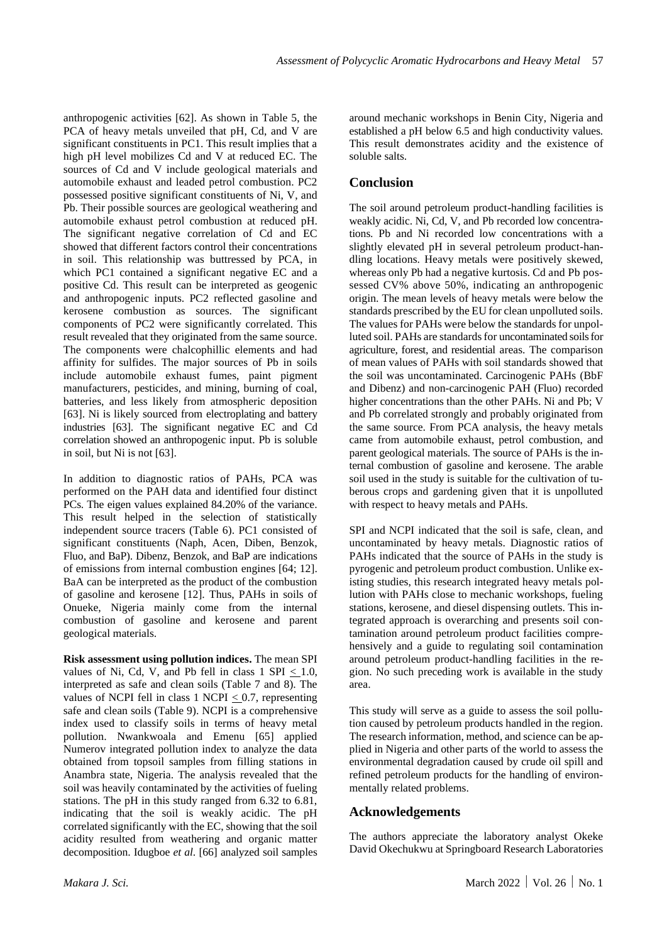anthropogenic activities [62]. As shown in Table 5, the PCA of heavy metals unveiled that pH, Cd, and V are significant constituents in PC1. This result implies that a high pH level mobilizes Cd and V at reduced EC. The sources of Cd and V include geological materials and automobile exhaust and leaded petrol combustion. PC2 possessed positive significant constituents of Ni, V, and Pb. Their possible sources are geological weathering and automobile exhaust petrol combustion at reduced pH. The significant negative correlation of Cd and EC showed that different factors control their concentrations in soil. This relationship was buttressed by PCA, in which PC1 contained a significant negative EC and a positive Cd. This result can be interpreted as geogenic and anthropogenic inputs. PC2 reflected gasoline and kerosene combustion as sources. The significant components of PC2 were significantly correlated. This result revealed that they originated from the same source. The components were chalcophillic elements and had affinity for sulfides. The major sources of Pb in soils include automobile exhaust fumes, paint pigment manufacturers, pesticides, and mining, burning of coal, batteries, and less likely from atmospheric deposition [63]. Ni is likely sourced from electroplating and battery industries [63]. The significant negative EC and Cd correlation showed an anthropogenic input. Pb is soluble in soil, but Ni is not [63].

In addition to diagnostic ratios of PAHs, PCA was performed on the PAH data and identified four distinct PCs. The eigen values explained 84.20% of the variance. This result helped in the selection of statistically independent source tracers (Table 6). PC1 consisted of significant constituents (Naph, Acen, Diben, Benzok, Fluo, and BaP). Dibenz, Benzok, and BaP are indications of emissions from internal combustion engines [64; 12]. BaA can be interpreted as the product of the combustion of gasoline and kerosene [12]. Thus, PAHs in soils of Onueke, Nigeria mainly come from the internal combustion of gasoline and kerosene and parent geological materials.

**Risk assessment using pollution indices.** The mean SPI values of Ni, Cd, V, and Pb fell in class  $1$  SPI  $< 1.0$ , interpreted as safe and clean soils (Table 7 and 8). The values of NCPI fell in class  $1$  NCPI  $< 0.7$ , representing safe and clean soils (Table 9). NCPI is a comprehensive index used to classify soils in terms of heavy metal pollution. Nwankwoala and Emenu [65] applied Numerov integrated pollution index to analyze the data obtained from topsoil samples from filling stations in Anambra state, Nigeria. The analysis revealed that the soil was heavily contaminated by the activities of fueling stations. The pH in this study ranged from 6.32 to 6.81, indicating that the soil is weakly acidic. The pH correlated significantly with the EC, showing that the soil acidity resulted from weathering and organic matter decomposition. Idugboe *et al*. [66] analyzed soil samples

around mechanic workshops in Benin City, Nigeria and established a pH below 6.5 and high conductivity values. This result demonstrates acidity and the existence of soluble salts.

# **Conclusion**

The soil around petroleum product-handling facilities is weakly acidic. Ni, Cd, V, and Pb recorded low concentrations. Pb and Ni recorded low concentrations with a slightly elevated pH in several petroleum product-handling locations. Heavy metals were positively skewed, whereas only Pb had a negative kurtosis. Cd and Pb possessed CV% above 50%, indicating an anthropogenic origin. The mean levels of heavy metals were below the standards prescribed by the EU for clean unpolluted soils. The values for PAHs were below the standards for unpolluted soil. PAHs are standards for uncontaminated soils for agriculture, forest, and residential areas. The comparison of mean values of PAHs with soil standards showed that the soil was uncontaminated. Carcinogenic PAHs (BbF and Dibenz) and non-carcinogenic PAH (Fluo) recorded higher concentrations than the other PAHs. Ni and Pb; V and Pb correlated strongly and probably originated from the same source. From PCA analysis, the heavy metals came from automobile exhaust, petrol combustion, and parent geological materials. The source of PAHs is the internal combustion of gasoline and kerosene. The arable soil used in the study is suitable for the cultivation of tuberous crops and gardening given that it is unpolluted with respect to heavy metals and PAHs.

SPI and NCPI indicated that the soil is safe, clean, and uncontaminated by heavy metals. Diagnostic ratios of PAHs indicated that the source of PAHs in the study is pyrogenic and petroleum product combustion. Unlike existing studies, this research integrated heavy metals pollution with PAHs close to mechanic workshops, fueling stations, kerosene, and diesel dispensing outlets. This integrated approach is overarching and presents soil contamination around petroleum product facilities comprehensively and a guide to regulating soil contamination around petroleum product-handling facilities in the region. No such preceding work is available in the study area.

This study will serve as a guide to assess the soil pollution caused by petroleum products handled in the region. The research information, method, and science can be applied in Nigeria and other parts of the world to assess the environmental degradation caused by crude oil spill and refined petroleum products for the handling of environmentally related problems.

# **Acknowledgements**

The authors appreciate the laboratory analyst Okeke David Okechukwu at Springboard Research Laboratories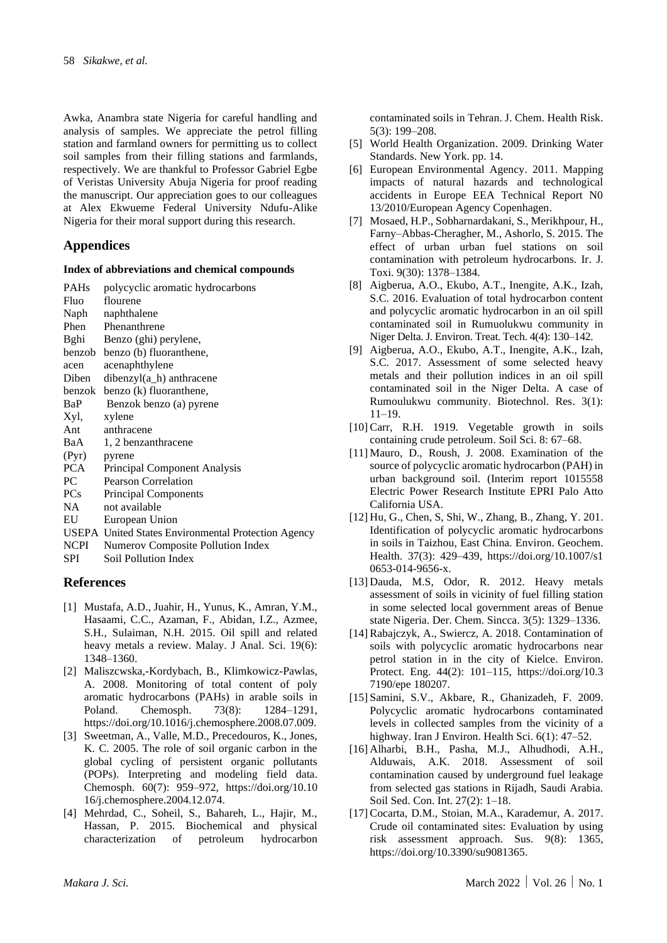Awka, Anambra state Nigeria for careful handling and analysis of samples. We appreciate the petrol filling station and farmland owners for permitting us to collect soil samples from their filling stations and farmlands, respectively. We are thankful to Professor Gabriel Egbe of Veristas University Abuja Nigeria for proof reading the manuscript. Our appreciation goes to our colleagues at Alex Ekwueme Federal University Ndufu-Alike Nigeria for their moral support during this research.

# **Appendices**

#### **Index of abbreviations and chemical compounds**

| <b>PAHs</b> | polycyclic aromatic hydrocarbons                    |
|-------------|-----------------------------------------------------|
| Fluo        | flourene                                            |
| Naph        | naphthalene                                         |
| Phen        | Phenanthrene                                        |
| Bghi        | Benzo (ghi) perylene,                               |
| benzob      | benzo (b) fluoranthene,                             |
| acen        | acenaphthylene                                      |
| Diben       | dibenzyl(a_h) anthracene                            |
| benzok      | benzo (k) fluoranthene,                             |
| BaP         | Benzok benzo (a) pyrene                             |
| Xyl,        | xylene                                              |
| Ant         | anthracene                                          |
| BaA         | 1, 2 benzanthracene                                 |
| (Pyr)       | pyrene                                              |
| PCA         | Principal Component Analysis                        |
| PC          | <b>Pearson Correlation</b>                          |
| PCs         | <b>Principal Components</b>                         |
| NA.         | not available                                       |
| EU          | European Union                                      |
|             | USEPA United States Environmental Protection Agency |
| <b>NCPI</b> | Numerov Composite Pollution Index                   |
|             |                                                     |

SPI Soil Pollution Index

# **References**

- [1] Mustafa, A.D., Juahir, H., Yunus, K., Amran, Y.M., Hasaami, C.C., Azaman, F., Abidan, I.Z., Azmee, S.H., Sulaiman, N.H. 2015. Oil spill and related heavy metals a review. Malay. J Anal. Sci. 19(6): 1348–1360.
- [2] Maliszcwska,-Kordybach, B., Klimkowicz-Pawlas, A. 2008. Monitoring of total content of poly aromatic hydrocarbons (PAHs) in arable soils in Poland. Chemosph. 73(8): 1284–1291, https://doi.org/10.1016/j.chemosphere.2008.07.009.
- [3] Sweetman, A., Valle, M.D., Precedouros, K., Jones, K. C. 2005. The role of soil organic carbon in the global cycling of persistent organic pollutants (POPs). Interpreting and modeling field data. Chemosph. 60(7): 959–972, https://doi.org/10.10 16/j.chemosphere.2004.12.074.
- [4] Mehrdad, C., Soheil, S., Bahareh, L., Hajir, M., Hassan, P. 2015. Biochemical and physical characterization of petroleum hydrocarbon

contaminated soils in Tehran. J. Chem. Health Risk. 5(3): 199–208.

- [5] World Health Organization. 2009. Drinking Water Standards. New York. pp. 14.
- [6] European Environmental Agency. 2011. Mapping impacts of natural hazards and technological accidents in Europe EEA Technical Report N0 13/2010/European Agency Copenhagen.
- [7] Mosaed, H.P., Sobharnardakani, S., Merikhpour, H., Farny–Abbas-Cheragher, M., Ashorlo, S. 2015. The effect of urban urban fuel stations on soil contamination with petroleum hydrocarbons. Ir. J. Toxi. 9(30): 1378–1384.
- [8] Aigberua, A.O., Ekubo, A.T., Inengite, A.K., Izah, S.C. 2016. Evaluation of total hydrocarbon content and polycyclic aromatic hydrocarbon in an oil spill contaminated soil in Rumuolukwu community in Niger Delta. J. Environ. Treat. Tech. 4(4): 130–142.
- [9] Aigberua, A.O., Ekubo, A.T., Inengite, A.K., Izah, S.C. 2017. Assessment of some selected heavy metals and their pollution indices in an oil spill contaminated soil in the Niger Delta. A case of Rumoulukwu community. Biotechnol. Res. 3(1): 11–19.
- [10] Carr, R.H. 1919. Vegetable growth in soils containing crude petroleum. Soil Sci. 8: 67–68.
- [11] Mauro, D., Roush, J. 2008. Examination of the source of polycyclic aromatic hydrocarbon (PAH) in urban background soil. (Interim report 1015558 Electric Power Research Institute EPRI Palo Atto California USA.
- [12] Hu, G., Chen, S, Shi, W., Zhang, B., Zhang, Y. 201. Identification of polycyclic aromatic hydrocarbons in soils in Taizhou, East China. Environ. Geochem. Health. 37(3): 429–439, https://doi.org/10.1007/s1 0653-014-9656-x.
- [13] Dauda, M.S, Odor, R. 2012. Heavy metals assessment of soils in vicinity of fuel filling station in some selected local government areas of Benue state Nigeria. Der. Chem. Sincca. 3(5): 1329–1336.
- [14] Rabajczyk, A., Swiercz, A. 2018. Contamination of soils with polycyclic aromatic hydrocarbons near petrol station in in the city of Kielce. Environ. Protect. Eng. 44(2): 101–115, https://doi.org/10.3 7190/epe 180207.
- [15] Samini, S.V., Akbare, R., Ghanizadeh, F. 2009. Polycyclic aromatic hydrocarbons contaminated levels in collected samples from the vicinity of a highway. Iran J Environ. Health Sci. 6(1): 47–52.
- [16] Alharbi, B.H., Pasha, M.J., Alhudhodi, A.H., Alduwais, A.K. 2018. Assessment of soil contamination caused by underground fuel leakage from selected gas stations in Rijadh, Saudi Arabia. Soil Sed. Con. Int. 27(2): 1–18.
- [17] Cocarta, D.M., Stoian, M.A., Karademur, A. 2017. Crude oil contaminated sites: Evaluation by using risk assessment approach. Sus. 9(8): 1365, https://doi.org/10.3390/su9081365.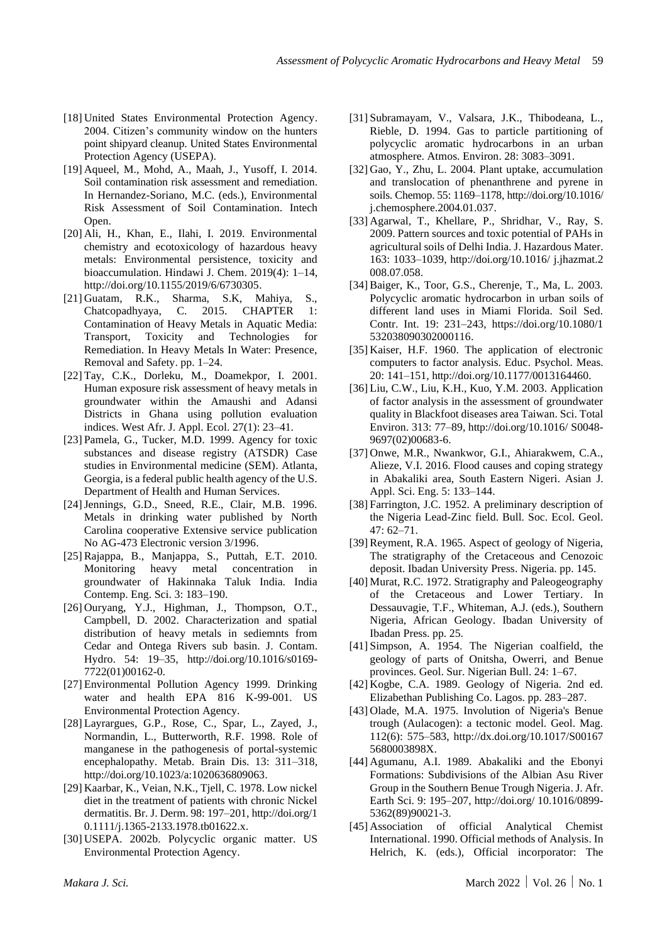- [18] United States Environmental Protection Agency. 2004. Citizen's community window on the hunters point shipyard cleanup. United States Environmental Protection Agency (USEPA).
- [19] Aqueel, M., Mohd, A., Maah, J., Yusoff, I. 2014. Soil contamination risk assessment and remediation. In Hernandez-Soriano, M.C. (eds.), Environmental Risk Assessment of Soil Contamination. Intech Open.
- [20] Ali, H., Khan, E., Ilahi, I. 2019. Environmental chemistry and ecotoxicology of hazardous heavy metals: Environmental persistence, toxicity and bioaccumulation. Hindawi J. Chem. 2019(4): 1–14, http://doi.org/10.1155/2019/6/6730305.
- [21] Guatam, R.K., Sharma, S.K, Mahiya, S., Chatcopadhyaya, C. 2015. CHAPTER 1: Contamination of Heavy Metals in Aquatic Media: Transport, Toxicity and Technologies for Remediation. In Heavy Metals In Water: Presence, Removal and Safety. pp. 1–24.
- [22] Tay, C.K., Dorleku, M., Doamekpor, I. 2001. Human exposure risk assessment of heavy metals in groundwater within the Amaushi and Adansi Districts in Ghana using pollution evaluation indices. West Afr. J. Appl. Ecol. 27(1): 23–41.
- [23] Pamela, G., Tucker, M.D. 1999. Agency for toxic substances and disease registry (ATSDR) Case studies in Environmental medicine (SEM). Atlanta, Georgia, is a federal public health agency of the U.S. Department of Health and Human Services.
- [24] Jennings, G.D., Sneed, R.E., Clair, M.B. 1996. Metals in drinking water published by North Carolina cooperative Extensive service publication No AG-473 Electronic version 3/1996.
- [25] Rajappa, B., Manjappa, S., Puttah, E.T. 2010. Monitoring heavy metal concentration in groundwater of Hakinnaka Taluk India. India Contemp. Eng. Sci. 3: 183–190.
- [26] Ouryang, Y.J., Highman, J., Thompson, O.T., Campbell, D. 2002. Characterization and spatial distribution of heavy metals in sediemnts from Cedar and Ontega Rivers sub basin. J. Contam. Hydro. 54: 19–35, http://doi.org/10.1016/s0169- 7722(01)00162-0.
- [27] Environmental Pollution Agency 1999. Drinking water and health EPA 816 K-99-001. US Environmental Protection Agency.
- [28] Layrargues, G.P., Rose, C., Spar, L., Zayed, J., Normandin, L., Butterworth, R.F. 1998. Role of manganese in the pathogenesis of portal-systemic encephalopathy. Metab. Brain Dis. 13: 311–318, http://doi.org/10.1023/a:1020636809063.
- [29] Kaarbar, K., Veian, N.K., Tjell, C. 1978. Low nickel diet in the treatment of patients with chronic Nickel dermatitis. Br. J. Derm. 98: 197–201, http://doi.org/1 0.1111/j.1365-2133.1978.tb01622.x.
- [30] USEPA. 2002b. Polycyclic organic matter. US Environmental Protection Agency.
- [31] Subramayam, V., Valsara, J.K., Thibodeana, L., Rieble, D. 1994. Gas to particle partitioning of polycyclic aromatic hydrocarbons in an urban atmosphere. Atmos. Environ. 28: 3083–3091.
- [32] Gao, Y., Zhu, L. 2004. Plant uptake, accumulation and translocation of phenanthrene and pyrene in soils. Chemop. 55: 1169–1178, http://doi.org/10.1016/ j.chemosphere.2004.01.037.
- [33] Agarwal, T., Khellare, P., Shridhar, V., Ray, S. 2009. Pattern sources and toxic potential of PAHs in agricultural soils of Delhi India. J. Hazardous Mater. 163: 1033–1039, http://doi.org/10.1016/ j.jhazmat.2 008.07.058.
- [34] Baiger, K., Toor, G.S., Cherenje, T., Ma, L. 2003. Polycyclic aromatic hydrocarbon in urban soils of different land uses in Miami Florida. Soil Sed. Contr. Int. 19: 231–243, https://doi.org/10.1080/1 532038090302000116.
- [35] Kaiser, H.F. 1960. The application of electronic computers to factor analysis. Educ. Psychol. Meas. 20: 141–151, http://doi.org/10.1177/0013164460.
- [36] Liu, C.W., Liu, K.H., Kuo, Y.M. 2003. Application of factor analysis in the assessment of groundwater quality in Blackfoot diseases area Taiwan. Sci. Total Environ. 313: 77–89, http://doi.org/10.1016/ S0048- 9697(02)00683-6.
- [37] Onwe, M.R., Nwankwor, G.I., Ahiarakwem, C.A., Alieze, V.I. 2016. Flood causes and coping strategy in Abakaliki area, South Eastern Nigeri. Asian J. Appl. Sci. Eng. 5: 133–144.
- [38] Farrington, J.C. 1952. A preliminary description of the Nigeria Lead-Zinc field. Bull. Soc. Ecol. Geol. 47: 62–71.
- [39] Reyment, R.A. 1965. Aspect of geology of Nigeria, The stratigraphy of the Cretaceous and Cenozoic deposit. Ibadan University Press. Nigeria. pp. 145.
- [40] Murat, R.C. 1972. Stratigraphy and Paleogeography of the Cretaceous and Lower Tertiary. In Dessauvagie, T.F., Whiteman, A.J. (eds.), Southern Nigeria, African Geology. Ibadan University of Ibadan Press. pp. 25.
- [41] Simpson, A. 1954. The Nigerian coalfield, the geology of parts of Onitsha, Owerri, and Benue provinces. Geol. Sur. Nigerian Bull. 24: 1–67.
- [42] Kogbe, C.A. 1989. Geology of Nigeria. 2nd ed. Elizabethan Publishing Co. Lagos. pp. 283–287.
- [43] Olade, M.A. 1975. Involution of Nigeria's Benue trough (Aulacogen): a tectonic model. Geol. Mag. 112(6): 575–583, http://dx.doi.org/10.1017/S00167 5680003898X.
- [44] Agumanu, A.I. 1989. Abakaliki and the Ebonyi Formations: Subdivisions of the Albian Asu River Group in the Southern Benue Trough Nigeria. J. Afr. Earth Sci. 9: 195–207, http://doi.org/ 10.1016/0899- 5362(89)90021-3.
- [45] Association of official Analytical Chemist International. 1990. Official methods of Analysis. In Helrich, K. (eds.), Official incorporator: The